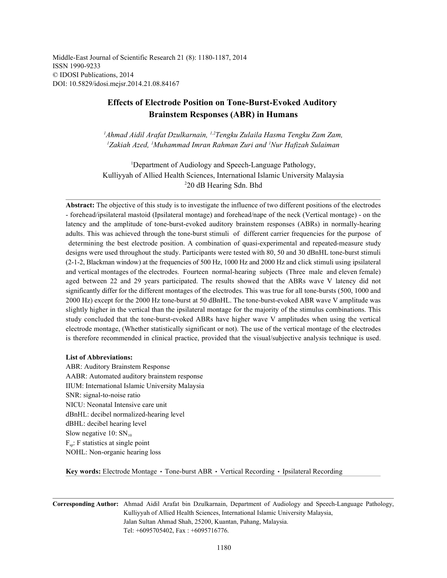Middle-East Journal of Scientific Research 21 (8): 1180-1187, 2014 ISSN 1990-9233 © IDOSI Publications, 2014 DOI: 10.5829/idosi.mejsr.2014.21.08.84167

# **Effects of Electrode Position on Tone-Burst-Evoked Auditory Brainstem Responses (ABR) in Humans**

*Ahmad Aidil Arafat Dzulkarnain, Tengku Zulaila Hasma Tengku Zam Zam, <sup>1</sup> 1,2 Zakiah Azed, Muhammad Imran Rahman Zuri and Nur Hafizah Sulaiman 1 1 <sup>1</sup>*

<sup>1</sup>Department of Audiology and Speech-Language Pathology, Kulliyyah of Allied Health Sciences, International Islamic University Malaysia <sup>2</sup>20 dB Hearing Sdn. Bhd

**Abstract:** The objective of this study is to investigate the influence of two different positions of the electrodes - forehead/ipsilateral mastoid (Ipsilateral montage) and forehead/nape of the neck (Vertical montage) - on the latency and the amplitude of tone-burst-evoked auditory brainstem responses (ABRs) in normally-hearing adults. This was achieved through the tone-burst stimuli of different carrier frequencies for the purpose of determining the best electrode position. A combination of quasi-experimental and repeated-measure study designs were used throughout the study. Participants were tested with 80, 50 and 30 dBnHL tone-burst stimuli (2-1-2, Blackman window) at the frequencies of 500 Hz, 1000 Hz and 2000 Hz and click stimuli using ipsilateral and vertical montages of the electrodes. Fourteen normal-hearing subjects (Three male and eleven female) aged between 22 and 29 years participated. The results showed that the ABRs wave V latency did not significantly differ for the different montages of the electrodes. This was true for all tone-bursts (500, 1000 and 2000 Hz) except for the 2000 Hz tone-burst at 50 dBnHL. The tone-burst-evoked ABR wave V amplitude was slightly higher in the vertical than the ipsilateral montage for the majority of the stimulus combinations. This study concluded that the tone-burst-evoked ABRs have higher wave V amplitudes when using the vertical electrode montage, (Whether statistically significant or not). The use of the vertical montage of the electrodes is therefore recommended in clinical practice, provided that the visual/subjective analysis technique is used.

## **List of Abbreviations:**

ABR: Auditory Brainstem Response AABR: Automated auditory brainstem response IIUM: International Islamic University Malaysia SNR: signal-to-noise ratio NICU: Neonatal Intensive care unit dBnHL: decibel normalized-hearing level dBHL: decibel hearing level Slow negative 10:  $SN_{10}$  $F_{\text{sn}}$ : F statistics at single point NOHL: Non-organic hearing loss

Key words: Electrode Montage · Tone-burst ABR · Vertical Recording · Ipsilateral Recording

**Corresponding Author:** Ahmad Aidil Arafat bin Dzulkarnain, Department of Audiology and Speech-Language Pathology, Kulliyyah of Allied Health Sciences, International Islamic University Malaysia, Jalan Sultan Ahmad Shah, 25200, Kuantan, Pahang, Malaysia. Tel: +6095705402, Fax : +6095716776.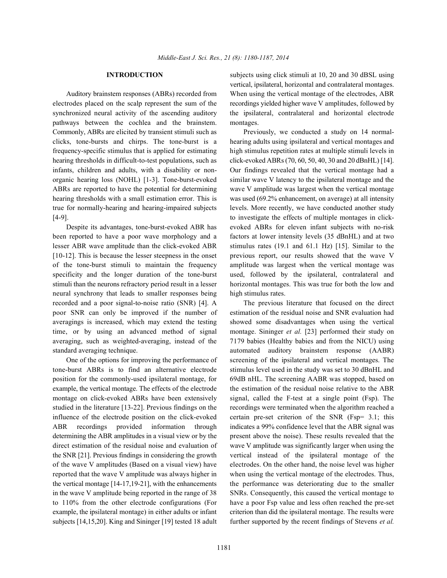electrodes placed on the scalp represent the sum of the recordings yielded higher wave V amplitudes, followed by synchronized neural activity of the ascending auditory the ipsilateral, contralateral and horizontal electrode pathways between the cochlea and the brainstem. montages. Commonly, ABRs are elicited by transient stimuli such as Previously, we conducted a study on 14 normalclicks, tone-bursts and chirps. The tone-burst is a hearing adults using ipsilateral and vertical montages and frequency-specific stimulus that is applied for estimating high stimulus repetition rates at multiple stimuli levels in hearing thresholds in difficult-to-test populations, such as click-evoked ABRs (70, 60, 50, 40, 30 and 20 dBnHL) [14]. infants, children and adults, with a disability or non- Our findings revealed that the vertical montage had a organic hearing loss (NOHL) [1-3]. Tone-burst-evoked similar wave V latency to the ipsilateral montage and the ABRs are reported to have the potential for determining wave V amplitude was largest when the vertical montage hearing thresholds with a small estimation error. This is was used (69.2% enhancement, on average) at all intensity true for normally-hearing and hearing-impaired subjects levels. More recently, we have conducted another study [4-9]. to investigate the effects of multiple montages in click-

been reported to have a poor wave morphology and a factors at lower intensity levels (35 dBnHL) and at two lesser ABR wave amplitude than the click-evoked ABR stimulus rates (19.1 and 61.1 Hz) [15]. Similar to the [10-12]. This is because the lesser steepness in the onset previous report, our results showed that the wave V of the tone-burst stimuli to maintain the frequency amplitude was largest when the vertical montage was specificity and the longer duration of the tone-burst used, followed by the ipsilateral, contralateral and stimuli than the neurons refractory period result in a lesser horizontal montages. This was true for both the low and neural synchrony that leads to smaller responses being high stimulus rates. recorded and a poor signal-to-noise ratio (SNR) [4]. A The previous literature that focused on the direct poor SNR can only be improved if the number of estimation of the residual noise and SNR evaluation had averagings is increased, which may extend the testing showed some disadvantages when using the vertical time, or by using an advanced method of signal montage. Sininger *et al.* [23] performed their study on averaging, such as weighted-averaging, instead of the 7179 babies (Healthy babies and from the NICU) using standard averaging technique. The automated auditory brainstem response (AABR)

tone-burst ABRs is to find an alternative electrode stimulus level used in the study was set to 30 dBnHL and position for the commonly-used ipsilateral montage, for 69dB nHL. The screening AABR was stopped, based on example, the vertical montage. The effects of the electrode the estimation of the residual noise relative to the ABR montage on click-evoked ABRs have been extensively signal, called the F-test at a single point (Fsp). The studied in the literature [13-22]. Previous findings on the recordings were terminated when the algorithm reached a influence of the electrode position on the click-evoked certain pre-set criterion of the SNR (Fsp= 3.1; this ABR recordings provided information through indicates a 99% confidence level that the ABR signal was determining the ABR amplitudes in a visual view or by the present above the noise). These results revealed that the direct estimation of the residual noise and evaluation of wave V amplitude was significantly larger when using the the SNR [21]. Previous findings in considering the growth vertical instead of the ipsilateral montage of the of the wave V amplitudes (Based on a visual view) have electrodes. On the other hand, the noise level was higher reported that the wave V amplitude was always higher in when using the vertical montage of the electrodes. Thus, the vertical montage [14-17,19-21], with the enhancements the performance was deteriorating due to the smaller in the wave V amplitude being reported in the range of 38 SNRs. Consequently, this caused the vertical montage to to 110% from the other electrode configurations (For have a poor Fsp value and less often reached the pre-set example, the ipsilateral montage) in either adults or infant criterion than did the ipsilateral montage. The results were subjects [14,15,20]. King and Sininger [19] tested 18 adult further supported by the recent findings of Stevens *et al.* 

**INTRODUCTION** subjects using click stimuli at 10, 20 and 30 dBSL using Auditory brainstem responses (ABRs) recorded from When using the vertical montage of the electrodes, ABR vertical, ipsilateral, horizontal and contralateral montages.

Despite its advantages, tone-burst-evoked ABR has evoked ABRs for eleven infant subjects with no-risk

One of the options for improving the performance of screening of the ipsilateral and vertical montages. The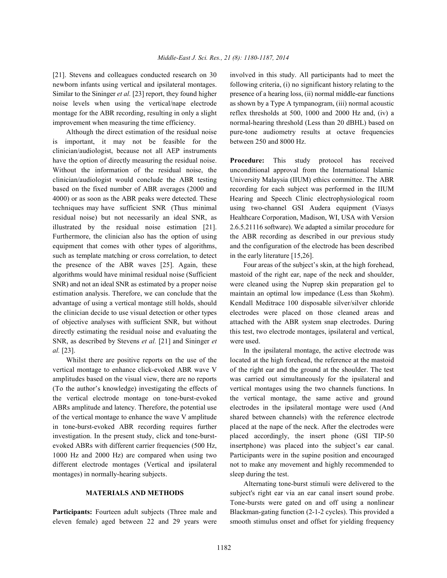newborn infants using vertical and ipsilateral montages. following criteria, (i) no significant history relating to the Similar to the Sininger *et al.* [23] report, they found higher presence of a hearing loss, (ii) normal middle-ear functions noise levels when using the vertical/nape electrode as shown by a Type A tympanogram, (iii) normal acoustic montage for the ABR recording, resulting in only a slight reflex thresholds at 500, 1000 and 2000 Hz and, (iv) a improvement when measuring the time efficiency. normal-hearing threshold (Less than 20 dBHL) based on

is important, it may not be feasible for the between 250 and 8000 Hz. clinician/audiologist, because not all AEP instruments have the option of directly measuring the residual noise. **Procedure:** This study protocol has received Without the information of the residual noise, the unconditional approval from the International Islamic clinician/audiologist would conclude the ABR testing University Malaysia (IIUM) ethics committee. The ABR based on the fixed number of ABR averages (2000 and recording for each subject was performed in the IIUM 4000) or as soon as the ABR peaks were detected. These Hearing and Speech Clinic electrophysiological room techniques may have sufficient SNR (Thus minimal using two-channel GSI Audera equipment (Viasys residual noise) but not necessarily an ideal SNR, as Healthcare Corporation, Madison, WI, USA with Version illustrated by the residual noise estimation [21]. 2.6.5.21116 software). We adapted a similar procedure for Furthermore, the clinician also has the option of using the ABR recording as described in our previous study equipment that comes with other types of algorithms, and the configuration of the electrode has been described such as template matching or cross correlation, to detect in the early literature [15,26]. the presence of the ABR waves [25]. Again, these Four areas of the subject's skin, at the high forehead, algorithms would have minimal residual noise (Sufficient mastoid of the right ear, nape of the neck and shoulder, SNR) and not an ideal SNR as estimated by a proper noise were cleaned using the Nuprep skin preparation gel to estimation analysis. Therefore, we can conclude that the maintain an optimal low impedance (Less than 5kohm). advantage of using a vertical montage still holds, should Kendall Meditrace 100 disposable silver/silver chloride the clinician decide to use visual detection or other types electrodes were placed on those cleaned areas and of objective analyses with sufficient SNR, but without attached with the ABR system snap electrodes. During directly estimating the residual noise and evaluating the this test, two electrode montages, ipsilateral and vertical, SNR, as described by Stevens *et al.* [21] and Sininger *et* were used. *al.* [23]. In the ipsilateral montage, the active electrode was

vertical montage to enhance click-evoked ABR wave V of the right ear and the ground at the shoulder. The test amplitudes based on the visual view, there are no reports was carried out simultaneously for the ipsilateral and (To the author's knowledge) investigating the effects of vertical montages using the two channels functions. In the vertical electrode montage on tone-burst-evoked the vertical montage, the same active and ground ABRs amplitude and latency. Therefore, the potential use electrodes in the ipsilateral montage were used (And of the vertical montage to enhance the wave V amplitude shared between channels) with the reference electrode in tone-burst-evoked ABR recording requires further placed at the nape of the neck. After the electrodes were investigation. In the present study, click and tone-burst- placed accordingly, the insert phone (GSI TIP-50 evoked ABRs with different carrier frequencies (500 Hz, insertphone) was placed into the subject's ear canal. 1000 Hz and 2000 Hz) are compared when using two Participants were in the supine position and encouraged different electrode montages (Vertical and ipsilateral not to make any movement and highly recommended to montages) in normally-hearing subjects. sleep during the test.

[21]. Stevens and colleagues conducted research on 30 involved in this study. All participants had to meet the Although the direct estimation of the residual noise pure-tone audiometry results at octave frequencies

Whilst there are positive reports on the use of the located at the high forehead, the reference at the mastoid

**MATERIALS AND METHODS** subject's right ear via an ear canal insert sound probe. **Participants:** Fourteen adult subjects (Three male and Blackman-gating function (2-1-2 cycles). This provided a eleven female) aged between 22 and 29 years were smooth stimulus onset and offset for yielding frequency Alternating tone-burst stimuli were delivered to the Tone-bursts were gated on and off using a nonlinear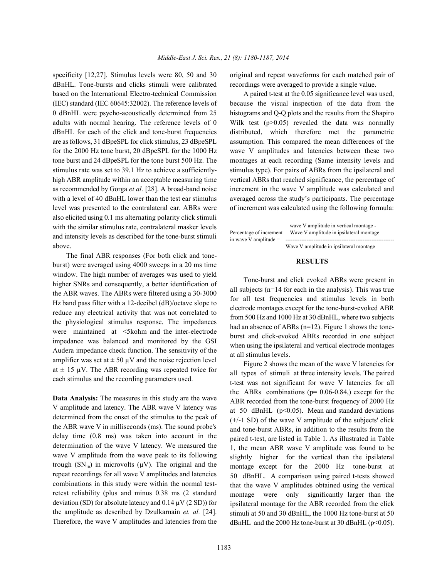dBnHL. Tone-bursts and clicks stimuli were calibrated recordings were averaged to provide a single value. based on the International Electro-technical Commission A paired t-test at the 0.05 significance level was used, (IEC) standard (IEC 60645:32002). The reference levels of because the visual inspection of the data from the 0 dBnHL were psycho-acoustically determined from 25 histograms and Q-Q plots and the results from the Shapiro adults with normal hearing. The reference levels of 0 Wilk test  $(p>0.05)$  revealed the data was normally dBnHL for each of the click and tone-burst frequencies distributed, which therefore met the parametric are as follows, 31 dBpeSPL for click stimulus, 23 dBpeSPL assumption. This compared the mean differences of the for the 2000 Hz tone burst, 20 dBpeSPL for the 1000 Hz wave V amplitudes and latencies between these two tone burst and 24 dBpeSPL for the tone burst 500 Hz. The montages at each recording (Same intensity levels and stimulus rate was set to 39.1 Hz to achieve a sufficiently- stimulus type). For pairs of ABRs from the ipsilateral and high ABR amplitude within an acceptable measuring time vertical ABRs that reached significance, the percentage of as recommended by Gorga *et al.* [28]. A broad-band noise increment in the wave V amplitude was calculated and with a level of 40 dBnHL lower than the test ear stimulus averaged across the study's participants. The percentage level was presented to the contralateral ear. ABRs were of increment was calculated using the following formula: also elicited using 0.1 ms alternating polarity click stimuli with the similar stimulus rate, contralateral masker levels and intensity levels as described for the tone-burst stimuli above.

The final ABR responses (For both click and toneburst) were averaged using 4000 sweeps in a 20 ms time window. The high number of averages was used to yield higher SNRs and consequently, a better identification of the ABR waves. The ABRs were filtered using a 30-3000 Hz band pass filter with a 12-decibel (dB)/octave slope to reduce any electrical activity that was not correlated to the physiological stimulus response. The impedances were maintained at <5kohm and the inter-electrode impedance was balanced and monitored by the GSI Audera impedance check function. The sensitivity of the amplifier was set at  $\pm 50 \mu V$  and the noise rejection level at  $\pm$  15 µV. The ABR recording was repeated twice for each stimulus and the recording parameters used.

**Data Analysis:** The measures in this study are the wave V amplitude and latency. The ABR wave V latency was determined from the onset of the stimulus to the peak of the ABR wave V in milliseconds (ms). The sound probe's delay time (0.8 ms) was taken into account in the determination of the wave V latency. We measured the wave V amplitude from the wave peak to its following trough  $(SN_{10})$  in microvolts ( $\mu$ V). The original and the repeat recordings for all wave V amplitudes and latencies combinations in this study were within the normal testretest reliability (plus and minus 0.38 ms (2 standard deviation (SD) for absolute latency and  $0.14 \mu V (2 SD)$  for the amplitude as described by Dzulkarnain *et. al.* [24]. Therefore, the wave V amplitudes and latencies from the

specificity [12,27]. Stimulus levels were 80, 50 and 30 original and repeat waveforms for each matched pair of

|                         | wave V amplitude in vertical montage -  |  |  |
|-------------------------|-----------------------------------------|--|--|
| Percentage of increment | Wave V amplitude in ipsilateral montage |  |  |
| in wave V amplitude $=$ |                                         |  |  |
|                         |                                         |  |  |

Wave V amplitude in ipsilateral montage

## **RESULTS**

Tone-burst and click evoked ABRs were present in all subjects (n=14 for each in the analysis). This was true for all test frequencies and stimulus levels in both electrode montages except for the tone-burst-evoked ABR from 500 Hz and 1000 Hz at 30 dBnHL, where two subjects had an absence of ABRs (n=12). Figure 1 shows the toneburst and click-evoked ABRs recorded in one subject when using the ipsilateral and vertical electrode montages at all stimulus levels.

Figure 2 shows the mean of the wave V latencies for all types of stimuli at three intensity levels. The paired t-test was not significant for wave V latencies for all the ABRs combinations ( $p= 0.06-0.84$ ) except for the ABR recorded from the tone-burst frequency of 2000 Hz at 50 dBnHL ( $p<0.05$ ). Mean and standard deviations (+/-1 SD) of the wave V amplitude of the subjects' click and tone-burst ABRs, in addition to the results from the paired t-test, are listed in Table 1. As illustrated in Table 1, the mean ABR wave V amplitude was found to be slightly higher for the vertical than the ipsilateral montage except for the 2000 Hz tone-burst at 50 dBnHL. A comparison using paired t-tests showed that the wave V amplitudes obtained using the vertical montage were only significantly larger than the ipsilateral montage for the ABR recorded from the click stimuli at 50 and 30 dBnHL, the 1000 Hz tone-burst at 50 dBnHL and the 2000 Hz tone-burst at 30 dBnHL ( $p$ <0.05).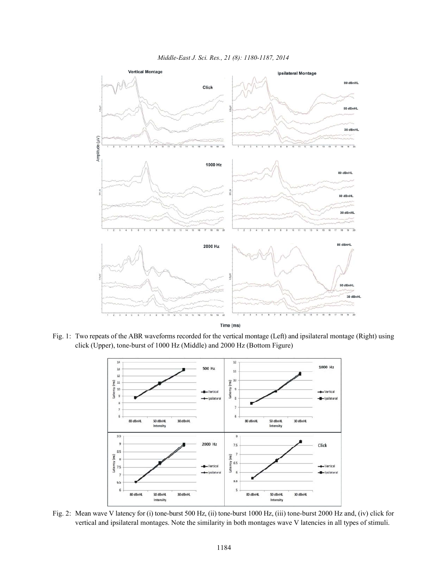



Time (ms)

Fig. 1: Two repeats of the ABR waveforms recorded for the vertical montage (Left) and ipsilateral montage (Right) using click (Upper), tone-burst of 1000 Hz (Middle) and 2000 Hz (Bottom Figure)



Fig. 2: Mean wave V latency for (i) tone-burst 500 Hz, (ii) tone-burst 1000 Hz, (iii) tone-burst 2000 Hz and, (iv) click for vertical and ipsilateral montages. Note the similarity in both montages wave V latencies in all types of stimuli.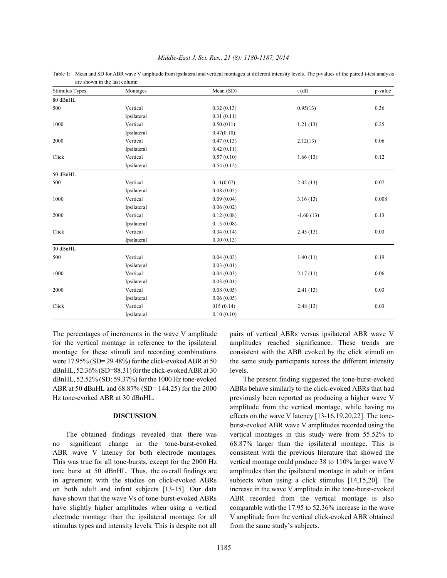Table 1: Mean and SD for ABR wave V amplitude from ipsilateral and vertical montages at different intensity levels. The p-values of the paired t-test analysis are shown in the last column

| <b>Stimulus Types</b> | Montages    | Mean (SD)  | $t$ (df)    | p-value |
|-----------------------|-------------|------------|-------------|---------|
| 80 dBnHL              |             |            |             |         |
| 500                   | Vertical    | 0.32(0.13) | 0.95(13)    | 0.36    |
|                       | Ipsilateral | 0.31(0.11) |             |         |
| 1000                  | Vertical    | 0.50(011)  | 1.21(13)    | 0.25    |
|                       | Ipsilateral | 0.47(0.10) |             |         |
| 2000                  | Vertical    | 0.47(0.13) | 2.12(13)    | 0.06    |
|                       | Ipsilateral | 0.42(0.11) |             |         |
| Click                 | Vertical    | 0.57(0.10) | 1.66(13)    | 0.12    |
|                       | Ipsilateral | 0.54(0.12) |             |         |
| 50 dBnHL              |             |            |             |         |
| 500                   | Vertical    | 0.11(0.07) | 2.02(13)    | 0.07    |
|                       | Ipsilateral | 0.08(0.05) |             |         |
| 1000                  | Vertical    | 0.09(0.04) | 3.16(13)    | 0.008   |
|                       | Ipsilateral | 0.06(0.02) |             |         |
| 2000                  | Vertical    | 0.12(0.08) | $-1.60(13)$ | 0.13    |
|                       | Ipsilateral | 0.13(0.08) |             |         |
| Click                 | Vertical    | 0.34(0.14) | 2.45(13)    | 0.03    |
|                       | Ipsilateral | 0.30(0.13) |             |         |
| 30 dBnHL              |             |            |             |         |
| 500                   | Vertical    | 0.04(0.03) | 1.40(11)    | 0.19    |
|                       | Ipsilateral | 0.03(0.01) |             |         |
| 1000                  | Vertical    | 0.04(0.03) | 2.17(11)    | 0.06    |
|                       | Ipsilateral | 0.03(0.01) |             |         |
| 2000                  | Vertical    | 0.08(0.05) | 2.41(13)    | 0.03    |
|                       | Ipsilateral | 0.06(0.05) |             |         |
| Click                 | Vertical    | 015(0.14)  | 2.48(13)    | 0.03    |
|                       | Ipsilateral | 0.10(0.10) |             |         |

for the vertical montage in reference to the ipsilateral amplitudes reached significance. These trends are montage for these stimuli and recording combinations consistent with the ABR evoked by the click stimuli on were 17.95% (SD= 29.48%) for the click-evoked ABR at 50 the same study participants across the different intensity dBnHL, 52.36% (SD=88.31) for the click-evoked ABR at 30 levels. dBnHL, 52.52% (SD: 59.37%) for the 1000 Hz tone-evoked The present finding suggested the tone-burst-evoked ABR at 50 dBnHL and 68.87% (SD= 144.25) for the 2000 ABRs behave similarly to the click-evoked ABRs that had

no significant change in the tone-burst-evoked 68.87% larger than the ipsilateral montage. This is ABR wave V latency for both electrode montages. consistent with the previous literature that showed the This was true for all tone-bursts, except for the 2000 Hz vertical montage could produce 38 to 110% larger wave V tone burst at 50 dBnHL. Thus, the overall findings are amplitudes than the ipsilateral montage in adult or infant in agreement with the studies on click-evoked ABRs subjects when using a click stimulus [14,15,20]. The on both adult and infant subjects [13-15]. Our data increase in the wave V amplitude in the tone-burst-evoked have shown that the wave Vs of tone-burst-evoked ABRs ABR recorded from the vertical montage is also have slightly higher amplitudes when using a vertical comparable with the 17.95 to 52.36% increase in the wave electrode montage than the ipsilateral montage for all V amplitude from the vertical click-evoked ABR obtained stimulus types and intensity levels. This is despite not all from the same study's subjects.

The percentages of increments in the wave V amplitude pairs of vertical ABRs versus ipsilateral ABR wave V

Hz tone-evoked ABR at 30 dBnHL. previously been reported as producing a higher wave V **DISCUSSION** effects on the wave V latency [13-16,19,20,22]. The tone-The obtained findings revealed that there was vertical montages in this study were from 55.52% to amplitude from the vertical montage, while having no burst-evoked ABR wave V amplitudes recorded using the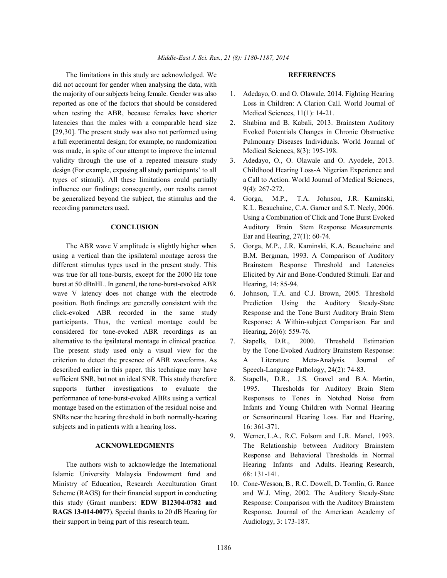The limitations in this study are acknowledged. We **REFERENCES** did not account for gender when analysing the data, with the majority of our subjects being female. Gender was also 1. Adedayo, O. and O. Olawale, 2014. Fighting Hearing reported as one of the factors that should be considered Loss in Children: A Clarion Call. World Journal of when testing the ABR, because females have shorter Medical Sciences, 11(1): 14-21. latencies than the males with a comparable head size 2. Shabina and B. Kabali, 2013. Brainstem Auditory [29,30]. The present study was also not performed using Evoked Potentials Changes in Chronic Obstructive was made, in spite of our attempt to improve the internal Medical Sciences, 8(3): 195-198. validity through the use of a repeated measure study 3. Adedayo, O., O. Olawale and O. Ayodele, 2013. types of stimuli). All these limitations could partially a Call to Action. World Journal of Medical Sciences, influence our findings; consequently, our results cannot 9(4): 267-272. be generalized beyond the subject, the stimulus and the 4. Gorga, M.P., T.A. Johnson, J.R. Kaminski, recording parameters used. K.L. Beauchaine, C.A. Garner and S.T. Neely, 2006.

using a vertical than the ipsilateral montage across the B.M. Bergman, 1993. A Comparison of Auditory different stimulus types used in the present study. This Brainstem Response Threshold and Latencies was true for all tone-bursts, except for the 2000 Hz tone Elicited by Air and Bone-Conduted Stimuli. Ear and burst at 50 dBnHL. In general, the tone-burst-evoked ABR Hearing, 14: 85-94. wave V latency does not change with the electrode 6. Johnson, T.A. and C.J. Brown, 2005. Threshold position. Both findings are generally consistent with the Prediction Using the Auditory Steady-State click-evoked ABR recorded in the same study Response and the Tone Burst Auditory Brain Stem participants. Thus, the vertical montage could be Response: A Within-subject Comparison*.* Ear and considered for tone-evoked ABR recordings as an Hearing, 26(6): 559-76. alternative to the ipsilateral montage in clinical practice. 7. Stapells, D.R., 2000. Threshold Estimation The present study used only a visual view for the by the Tone-Evoked Auditory Brainstem Response: criterion to detect the presence of ABR waveforms. As A Literature Meta-Analysis*.* Journal of described earlier in this paper, this technique may have Speech-Language Pathology, 24(2): 74-83. sufficient SNR, but not an ideal SNR. This study therefore 8. Stapells, D.R., J.S. Gravel and B.A. Martin, supports further investigations to evaluate the 1995. Thresholds for Auditory Brain Stem performance of tone-burst-evoked ABRs using a vertical Responses to Tones in Notched Noise from montage based on the estimation of the residual noise and Infants and Young Children with Normal Hearing SNRs near the hearing threshold in both normally-hearing or Sensorineural Hearing Loss*.* Ear and Hearing, subjects and in patients with a hearing loss. 16: 361-371.

Islamic University Malaysia Endowment fund and 68: 131-141. Ministry of Education, Research Acculturation Grant 10. Cone-Wesson, B., R.C. Dowell, D. Tomlin, G. Rance Scheme (RAGS) for their financial support in conducting and W.J. Ming, 2002. The Auditory Steady-State this study (Grant numbers: **EDW B12304-0782 and** Response: Comparison with the Auditory Brainstem **RAGS 13-014-0077**). Special thanks to 20 dB Hearing for Response. Journal of the American Academy of their support in being part of this research team. Audiology, 3: 173-187.

- 
- a full experimental design; for example, no randomization Pulmonary Diseases Individuals. World Journal of
- design (For example, exposing all study participants' to all Childhood Hearing Loss-A Nigerian Experience and
	- **CONCLUSION** Auditory Brain Stem Response Measurements*.* Using a Combination of Click and Tone Burst Evoked Ear and Hearing, 27(1): 60-74.
	- The ABR wave V amplitude is slightly higher when 5. Gorga, M.P., J.R. Kaminski, K.A. Beauchaine and
		-
		-
		-
	- **ACKNOWLEDGMENTS** The Relationship between Auditory Brainstem The authors wish to acknowledge the International Hearing Infants and Adults*.* Hearing Research, 9. Werner, L.A., R.C. Folsom and L.R. Mancl, 1993. Response and Behavioral Thresholds in Normal
		-